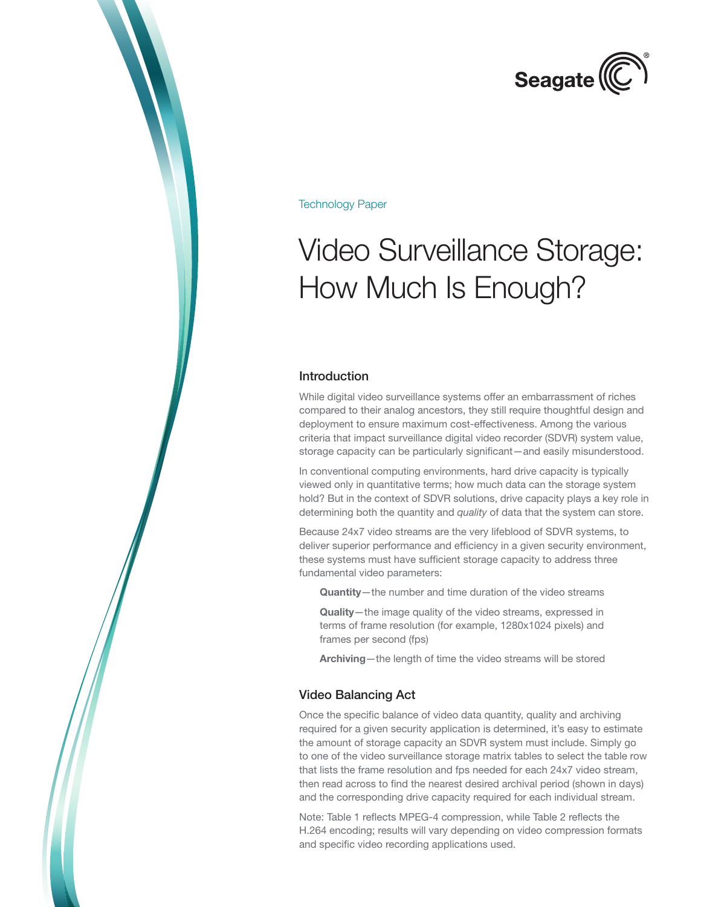

Technology Paper

# Video Surveillance Storage: How Much Is Enough?

#### Introduction

While digital video surveillance systems offer an embarrassment of riches compared to their analog ancestors, they still require thoughtful design and deployment to ensure maximum cost-effectiveness. Among the various criteria that impact surveillance digital video recorder (SDVR) system value, storage capacity can be particularly significant—and easily misunderstood.

In conventional computing environments, hard drive capacity is typically viewed only in quantitative terms; how much data can the storage system hold? But in the context of SDVR solutions, drive capacity plays a key role in determining both the quantity and *quality* of data that the system can store.

Because 24x7 video streams are the very lifeblood of SDVR systems, to deliver superior performance and efficiency in a given security environment, these systems must have sufficient storage capacity to address three fundamental video parameters:

Quantity—the number and time duration of the video streams

Quality—the image quality of the video streams, expressed in terms of frame resolution (for example, 1280x1024 pixels) and frames per second (fps)

Archiving—the length of time the video streams will be stored

#### Video Balancing Act

Once the specific balance of video data quantity, quality and archiving required for a given security application is determined, it's easy to estimate the amount of storage capacity an SDVR system must include. Simply go to one of the video surveillance storage matrix tables to select the table row that lists the frame resolution and fps needed for each 24x7 video stream, then read across to find the nearest desired archival period (shown in days) and the corresponding drive capacity required for each individual stream.

Note: Table 1 reflects MPEG-4 compression, while Table 2 reflects the H.264 encoding; results will vary depending on video compression formats and specific video recording applications used.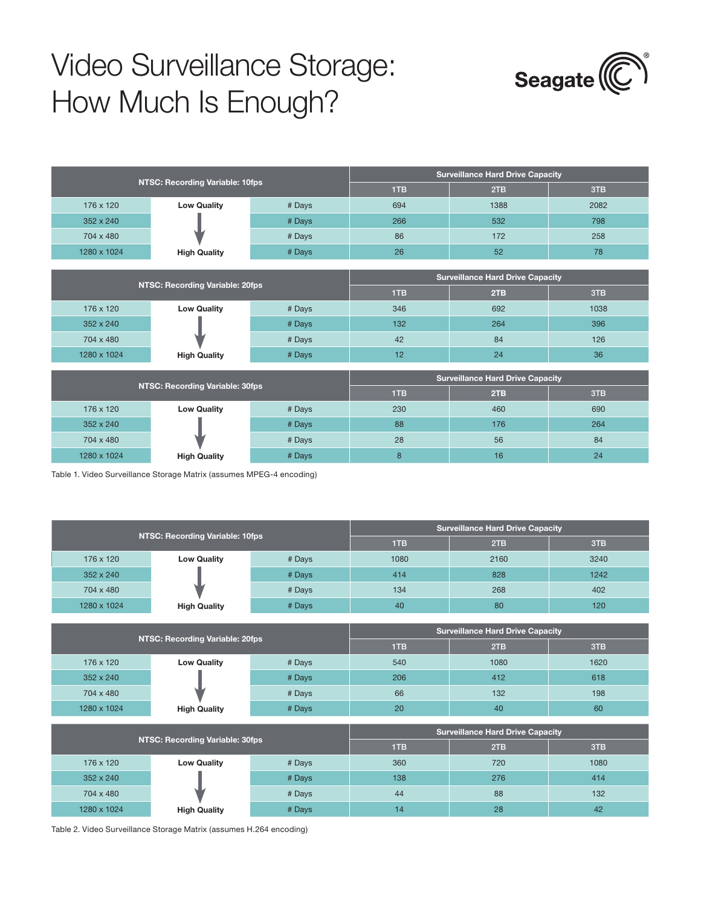## Video Surveillance Storage: How Much Is Enough?



| NTSC: Recording Variable: 10fps |                     |        | <b>Surveillance Hard Drive Capacity</b> |      |      |
|---------------------------------|---------------------|--------|-----------------------------------------|------|------|
|                                 |                     |        | <b>TTB</b>                              | 2TB  | 3TB  |
| 176 x 120                       | <b>Low Quality</b>  | # Days | 694                                     | 1388 | 2082 |
| $352 \times 240$                |                     | # Days | 266                                     | 532  | 798  |
| 704 x 480                       |                     | # Days | 86                                      | 172  | 258  |
| 1280 x 1024                     | <b>High Quality</b> | # Days | 26                                      | 52   | 78   |

| NTSC: Recording Variable: 20fps |                     |        | <b>Surveillance Hard Drive Capacity</b> |     |      |
|---------------------------------|---------------------|--------|-----------------------------------------|-----|------|
|                                 |                     |        | 1TB                                     | 2TB | 3TB  |
| 176 x 120                       | <b>Low Quality</b>  | # Days | 346                                     | 692 | 1038 |
| 352 x 240                       |                     | # Days | 132 <sub>2</sub>                        | 264 | 396  |
| 704 x 480                       |                     | # Days | 42                                      | 84  | 126  |
| 1280 x 1024                     | <b>High Quality</b> | # Days | 12                                      | 24  | 36   |

| NTSC: Recording Variable: 30fps |                     |        | <b>Surveillance Hard Drive Capacity</b> |            |     |
|---------------------------------|---------------------|--------|-----------------------------------------|------------|-----|
|                                 |                     |        | 1TB                                     | <b>2TB</b> | 3TB |
| 176 x 120                       | <b>Low Quality</b>  | # Days | 230                                     | 460        | 690 |
| 352 x 240                       |                     | # Days | 88                                      | 176        | 264 |
| 704 x 480                       |                     | # Days | 28                                      | 56         | 84  |
| 1280 x 1024                     | <b>High Quality</b> | # Days | 8                                       | 16         | 24  |

Table 1. Video Surveillance Storage Matrix (assumes MPEG-4 encoding)

| NTSC: Recording Variable: 10fps |                     |        | <b>Surveillance Hard Drive Capacity</b> |      |      |
|---------------------------------|---------------------|--------|-----------------------------------------|------|------|
|                                 |                     |        | 1TB                                     | 2TB  | 3TB  |
| 176 x 120                       | <b>Low Quality</b>  | # Days | 1080                                    | 2160 | 3240 |
| 352 x 240                       |                     | # Days | 414                                     | 828  | 1242 |
| 704 x 480                       |                     | # Days | 134                                     | 268  | 402  |
| 1280 x 1024                     | <b>High Quality</b> | # Days | 40                                      | 80   | 120  |
|                                 |                     |        |                                         |      |      |
| NTSC: Recording Variable: 20fps |                     |        | <b>Surveillance Hard Drive Capacity</b> |      |      |
|                                 |                     |        | 1TB                                     | 2TB  | 3TB  |
| 176 x 120                       | <b>Low Quality</b>  | # Days | 540                                     | 1080 | 1620 |
| 352 x 240                       |                     | # Days | 206                                     | 412  | 618  |
| 704 x 480                       |                     | # Days | 66                                      | 132  | 198  |
| 1280 x 1024                     | <b>High Quality</b> | # Days | 20                                      | 40   | 60   |
|                                 |                     |        |                                         |      |      |
| NTSC: Recording Variable: 30fps |                     |        | <b>Surveillance Hard Drive Capacity</b> |      |      |
|                                 |                     | 1TB    | 2TB                                     | 3TB  |      |
| 176 x 120                       | <b>Low Quality</b>  | # Days | 360                                     | 720  | 1080 |
| 352 x 240                       |                     | # Days | 138                                     | 276  | 414  |
| 704 x 480                       |                     | # Days | 44                                      | 88   | 132  |
| 1280 x 1024                     | <b>High Quality</b> | # Days | 14                                      | 28   | 42   |

Table 2. Video Surveillance Storage Matrix (assumes H.264 encoding)